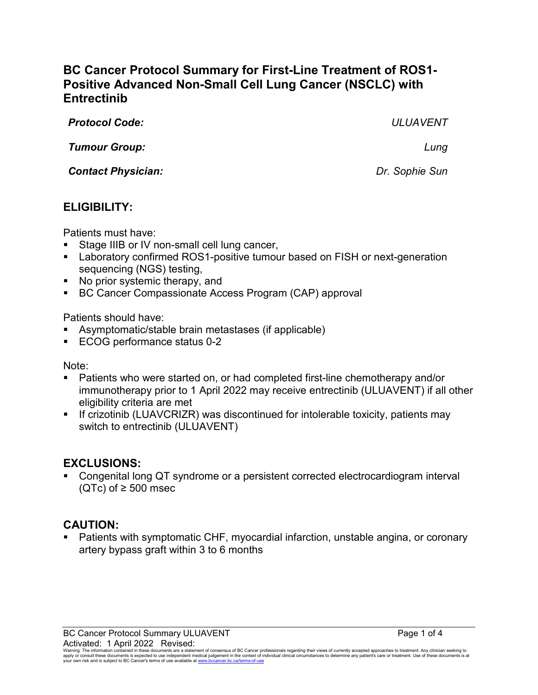# **BC Cancer Protocol Summary for First-Line Treatment of ROS1- Positive Advanced Non-Small Cell Lung Cancer (NSCLC) with Entrectinib**

| <b>Protocol Code:</b>     | <b>ULUAVENT</b> |
|---------------------------|-----------------|
| <b>Tumour Group:</b>      | Lung            |
| <b>Contact Physician:</b> | Dr. Sophie Sun  |
|                           |                 |

# **ELIGIBILITY:**

Patients must have:

- Stage IIIB or IV non-small cell lung cancer,
- **EXTER** Laboratory confirmed ROS1-positive tumour based on FISH or next-generation sequencing (NGS) testing,
- No prior systemic therapy, and
- BC Cancer Compassionate Access Program (CAP) approval

Patients should have:

- Asymptomatic/stable brain metastases (if applicable)
- ECOG performance status 0-2

Note:

- Patients who were started on, or had completed first-line chemotherapy and/or immunotherapy prior to 1 April 2022 may receive entrectinib (ULUAVENT) if all other eligibility criteria are met
- **If crizotinib (LUAVCRIZR) was discontinued for intolerable toxicity, patients may** switch to entrectinib (ULUAVENT)

## **EXCLUSIONS:**

 Congenital long QT syndrome or a persistent corrected electrocardiogram interval (QTc) of  $\geq$  500 msec

# **CAUTION:**

 Patients with symptomatic CHF, myocardial infarction, unstable angina, or coronary artery bypass graft within 3 to 6 months

BC Cancer Protocol Summary ULUAVENT **Page 1 of 4** and 2001 and 2012 and 2013 Activated: 1 April 2022 Revised:

Warning: The information contained in these documents are a statement of consensus of BC Cancer professionals regarding their views of currently accepted approaches to treatment. Any clinician seeking to<br>apply or consult t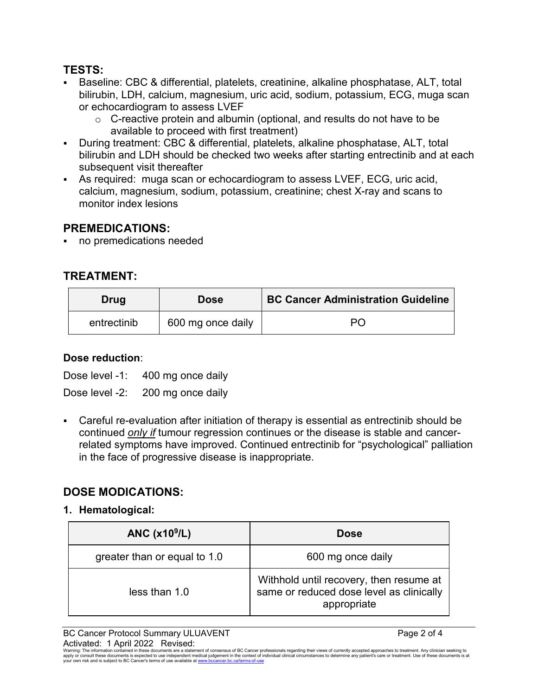## **TESTS:**

- Baseline: CBC & differential, platelets, creatinine, alkaline phosphatase, ALT, total bilirubin, LDH, calcium, magnesium, uric acid, sodium, potassium, ECG, muga scan or echocardiogram to assess LVEF
	- $\circ$  C-reactive protein and albumin (optional, and results do not have to be available to proceed with first treatment)
- During treatment: CBC & differential, platelets, alkaline phosphatase, ALT, total bilirubin and LDH should be checked two weeks after starting entrectinib and at each subsequent visit thereafter
- As required: muga scan or echocardiogram to assess LVEF, ECG, uric acid, calcium, magnesium, sodium, potassium, creatinine; chest X-ray and scans to monitor index lesions

## **PREMEDICATIONS:**

no premedications needed

# **TREATMENT:**

| Drug        | <b>Dose</b>       | <b>BC Cancer Administration Guideline</b> |
|-------------|-------------------|-------------------------------------------|
| entrectinib | 600 mg once daily | Рſ                                        |

#### **Dose reduction**:

Dose level -1: 400 mg once daily

Dose level -2: 200 mg once daily

 Careful re-evaluation after initiation of therapy is essential as entrectinib should be continued *only if* tumour regression continues or the disease is stable and cancerrelated symptoms have improved. Continued entrectinib for "psychological" palliation in the face of progressive disease is inappropriate.

# **DOSE MODICATIONS:**

**1. Hematological:**

| ANC $(x109/L)$               | <b>Dose</b>                                                                                        |
|------------------------------|----------------------------------------------------------------------------------------------------|
| greater than or equal to 1.0 | 600 mg once daily                                                                                  |
| less than 1.0                | Withhold until recovery, then resume at<br>same or reduced dose level as clinically<br>appropriate |

BC Cancer Protocol Summary ULUAVENT **Page 2 of 4** Activated: 1 April 2022 Revised:

Warning: The information contained in these documents are a statement of consensus of BC Cancer professionals regarding their views of currently accepted approaches to treatment. Any clinician seeking to<br>apply or consult t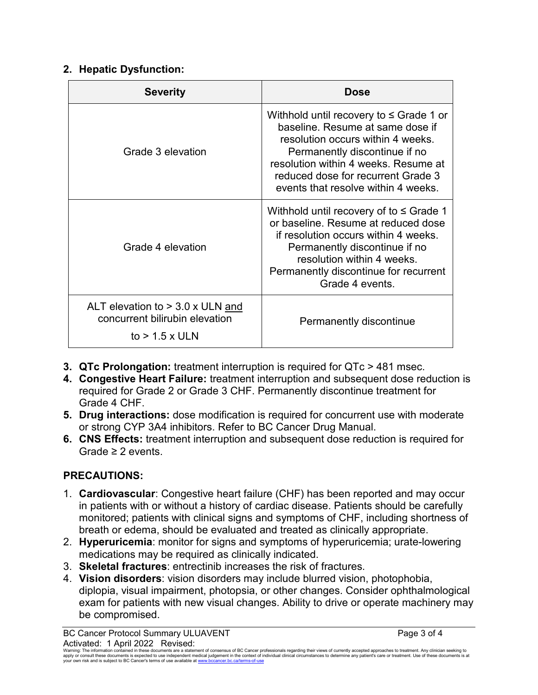## **2. Hepatic Dysfunction:**

| <b>Severity</b>                                                                        | Dose                                                                                                                                                                                                                                                                        |
|----------------------------------------------------------------------------------------|-----------------------------------------------------------------------------------------------------------------------------------------------------------------------------------------------------------------------------------------------------------------------------|
| Grade 3 elevation                                                                      | Withhold until recovery to $\leq$ Grade 1 or<br>baseline. Resume at same dose if<br>resolution occurs within 4 weeks.<br>Permanently discontinue if no<br>resolution within 4 weeks. Resume at<br>reduced dose for recurrent Grade 3<br>events that resolve within 4 weeks. |
| Grade 4 elevation                                                                      | Withhold until recovery of to $\leq$ Grade 1<br>or baseline. Resume at reduced dose<br>if resolution occurs within 4 weeks.<br>Permanently discontinue if no<br>resolution within 4 weeks.<br>Permanently discontinue for recurrent<br>Grade 4 events.                      |
| ALT elevation to > 3.0 x ULN and<br>concurrent bilirubin elevation<br>to $> 1.5$ x ULN | Permanently discontinue                                                                                                                                                                                                                                                     |

- **3. QTc Prolongation:** treatment interruption is required for QTc > 481 msec.
- **4. Congestive Heart Failure:** treatment interruption and subsequent dose reduction is required for Grade 2 or Grade 3 CHF. Permanently discontinue treatment for Grade 4 CHF.
- **5. Drug interactions:** dose modification is required for concurrent use with moderate or strong CYP 3A4 inhibitors. Refer to BC Cancer Drug Manual.
- **6. CNS Effects:** treatment interruption and subsequent dose reduction is required for Grade ≥ 2 events.

# **PRECAUTIONS:**

- 1. **Cardiovascular**: Congestive heart failure (CHF) has been reported and may occur in patients with or without a history of cardiac disease. Patients should be carefully monitored; patients with clinical signs and symptoms of CHF, including shortness of breath or edema, should be evaluated and treated as clinically appropriate.
- 2. **Hyperuricemia**: monitor for signs and symptoms of hyperuricemia; urate-lowering medications may be required as clinically indicated.
- 3. **Skeletal fractures**: entrectinib increases the risk of fractures.
- 4. **Vision disorders**: vision disorders may include blurred vision, photophobia, diplopia, visual impairment, photopsia, or other changes. Consider ophthalmological exam for patients with new visual changes. Ability to drive or operate machinery may be compromised.

BC Cancer Protocol Summary ULUAVENT **Page 3 of 4** Activated: 1 April 2022 Revised:

Waming: The information contained in these documents are a statement of consensus of BC Cancer professionals regarding their views of currently accepted approaches to treatment. Any clinicial sexpected by the sedical metal your own risk and is subject to BC Cancer's terms of use available a[t www.bccancer.bc.ca/terms-of-use](http://www.bccancer.bc.ca/terms-of-use)